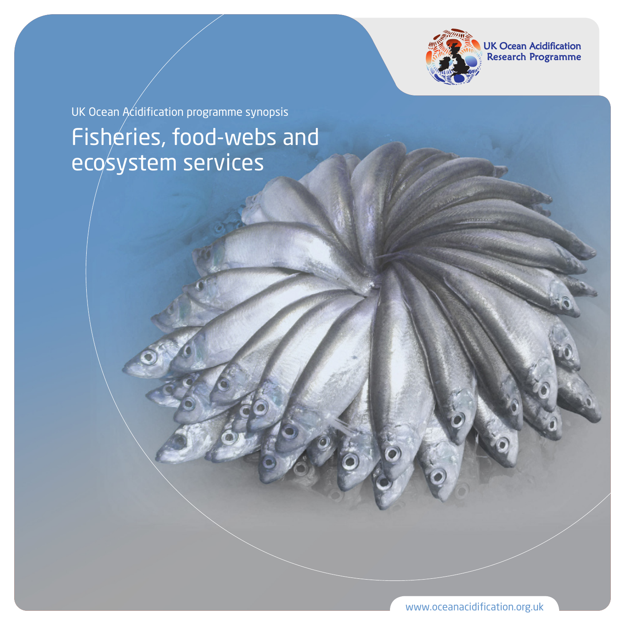

UK Ocean Acidification<br>Research Programme

Fisheries, food-webs and ecosystem services UK Ocean  $A$ *c*idification programme synopsis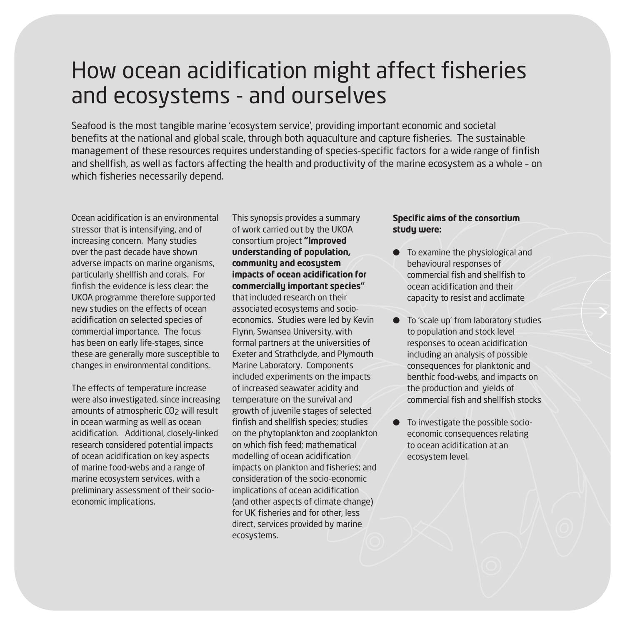### How ocean acidification might affect fisheries and ecosystems - and ourselves

Seafood is the most tangible marine 'ecosystem service', providing important economic and societal benefits at the national and global scale, through both aquaculture and capture fisheries. The sustainable management of these resources requires understanding of species-specific factors for a wide range of finfish and shellfish, as well as factors affecting the health and productivity of the marine ecosystem as a whole – on which fisheries necessarily depend.

Ocean acidification is an environmental stressor that is intensifying, and of increasing concern. Many studies over the past decade have shown adverse impacts on marine organisms, particularly shellfish and corals. For finfish the evidence is less clear: the UKOA programme therefore supported new studies on the effects of ocean acidification on selected species of commercial importance. The focus has been on early life-stages, since these are generally more susceptible to changes in environmental conditions.

The effects of temperature increase were also investigated, since increasing amounts of atmospheric CO<sub>2</sub> will result in ocean warming as well as ocean acidification. Additional, closely-linked research considered potential impacts of ocean acidification on key aspects of marine food-webs and a range of marine ecosystem services, with a preliminary assessment of their socioeconomic implications.

This synopsis provides a summary of work carried out by the UKOA consortium project **"Improved understanding of population, community and ecosystem impacts of ocean acidification for commercially important species"** that included research on their associated ecosystems and socioeconomics. Studies were led by Kevin Flynn, Swansea University, with formal partners at the universities of Exeter and Strathclyde, and Plymouth Marine Laboratory. Components included experiments on the impacts of increased seawater acidity and temperature on the survival and growth of juvenile stages of selected finfish and shellfish species; studies on the phytoplankton and zooplankton on which fish feed; mathematical modelling of ocean acidification impacts on plankton and fisheries; and consideration of the socio-economic implications of ocean acidification (and other aspects of climate change) for UK fisheries and for other, less direct, services provided by marine ecosystems.

#### **Specific aims of the consortium study were:**

- $\bullet$  To examine the physiological and behavioural responses of commercial fish and shellfish to ocean acidification and their capacity to resist and acclimate
- To 'scale up' from laboratory studies to population and stock level responses to ocean acidification including an analysis of possible consequences for planktonic and benthic food-webs, and impacts on the production and yields of commercial fish and shellfish stocks
- To investigate the possible socioeconomic consequences relating to ocean acidification at an ecosystem level.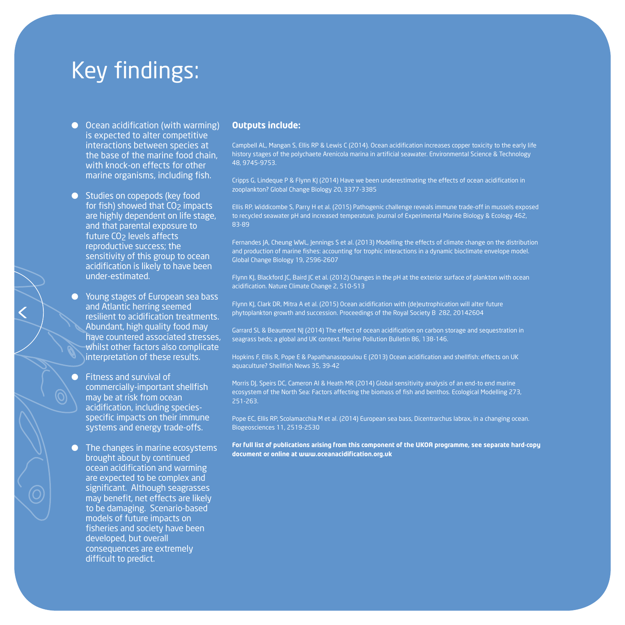### Key findings:

- $\bullet$  Ocean acidification (with warming) is expected to alter competitive interactions between species at the base of the marine food chain, with knock-on effects for other marine organisms, including fish.
- Studies on copepods (key food for fish) showed that CO<sub>2</sub> impacts are highly dependent on life stage, and that parental exposure to future CO<sub>2</sub> levels affects reproductive success; the sensitivity of this group to ocean acidification is likely to have been under-estimated.
- **Young stages of European sea bass** and Atlantic herring seemed resilient to acidification treatments. Abundant, high quality food may have countered associated stresses, whilst other factors also complicate interpretation of these results.
- **Fitness and survival of** commercially-important shellfish may be at risk from ocean acidification, including speciesspecific impacts on their immune systems and energy trade-offs.
- $\bullet$  The changes in marine ecosystems brought about by continued ocean acidification and warming are expected to be complex and significant. Although seagrasses may benefit, net effects are likely to be damaging. Scenario-based models of future impacts on fisheries and society have been developed, but overall consequences are extremely difficult to predict.

#### **Outputs include:**

Campbell AL, Mangan S, Ellis RP & Lewis C (2014). Ocean acidification increases copper toxicity to the early life history stages of the polychaete Arenicola marina in artificial seawater. Environmental Science & Technology 48, 9745-9753.

Cripps G, Lindeque P & Flynn KJ (2014) Have we been underestimating the effects of ocean acidification in zooplankton? Global Change Biology 20, 3377-3385

Ellis RP, Widdicombe S, Parry H et al. (2015) Pathogenic challenge reveals immune trade-off in mussels exposed to recycled seawater pH and increased temperature. Journal of Experimental Marine Biology & Ecology 462, 83-89

Fernandes JA, Cheung WWL, Jennings S et al. (2013) Modelling the effects of climate change on the distribution and production of marine fishes: accounting for trophic interactions in a dynamic bioclimate envelope model. Global Change Biology 19, 2596-2607

Flynn KJ, Blackford JC, Baird JC et al. (2012) Changes in the pH at the exterior surface of plankton with ocean acidification. Nature Climate Change 2, 510-513

Flynn KJ, Clark DR, Mitra A et al. (2015) Ocean acidification with (de)eutrophication will alter future phytoplankton growth and succession. Proceedings of the Royal Society B 282, 20142604

Garrard SL & Beaumont NJ (2014) The effect of ocean acidification on carbon storage and sequestration in seagrass beds; a global and UK context. Marine Pollution Bulletin 86, 138-146.

Hopkins F, Ellis R, Pope E & Papathanasopoulou E (2013) Ocean acidification and shellfish: effects on UK aquaculture? Shellfish News 35, 39-42

Morris DJ, Speirs DC, Cameron AI & Heath MR (2014) Global sensitivity analysis of an end-to end marine ecosystem of the North Sea: Factors affecting the biomass of fish and benthos. Ecological Modelling 273, 251-263.

Pope EC, Ellis RP, Scolamacchia M et al. (2014) European sea bass, Dicentrarchus labrax, in a changing ocean. Biogeosciences 11, 2519-2530

**For full list of publications arising from this component of the UKOA programme, see separate hard-copy document or online at www.oceanacidification.org.uk**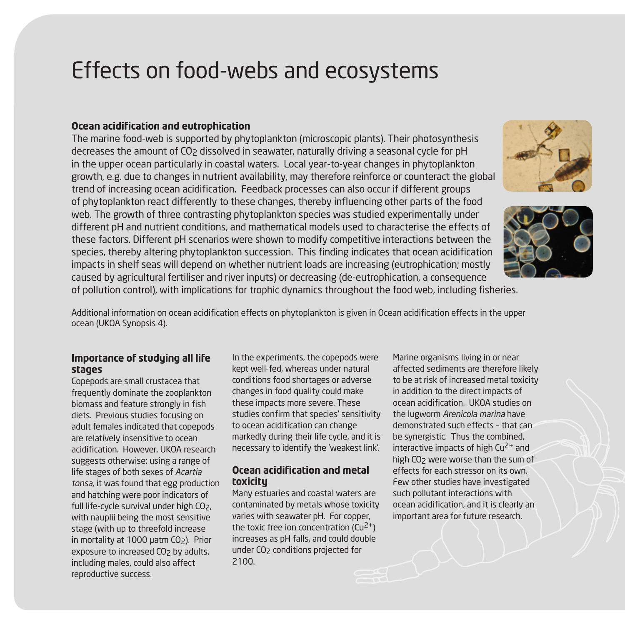### Effects on food-webs and ecosystems

#### **Ocean acidification and eutrophication**

The marine food-web is supported by phytoplankton (microscopic plants). Their photosynthesis decreases the amount of CO<sub>2</sub> dissolved in seawater, naturally driving a seasonal cycle for pH in the upper ocean particularly in coastal waters. Local year-to-year changes in phytoplankton growth, e.g. due to changes in nutrient availability, may therefore reinforce or counteract the global trend of increasing ocean acidification. Feedback processes can also occur if different groups of phytoplankton react differently to these changes, thereby influencing other parts of the food web. The growth of three contrasting phytoplankton species was studied experimentally under different pH and nutrient conditions, and mathematical models used to characterise the effects of these factors. Different pH scenarios were shown to modify competitive interactions between the species, thereby altering phytoplankton succession. This finding indicates that ocean acidification impacts in shelf seas will depend on whether nutrient loads are increasing (eutrophication; mostly caused by agricultural fertiliser and river inputs) or decreasing (de-eutrophication, a consequence of pollution control), with implications for trophic dynamics throughout the food web, including fisheries.





Additional information on ocean acidification effects on phytoplankton is given in Ocean acidification effects in the upper ocean (UKOA Synopsis 4).

### **Importance of studying all life stages**

Copepods are small crustacea that frequently dominate the zooplankton biomass and feature strongly in fish diets. Previous studies focusing on adult females indicated that copepods are relatively insensitive to ocean acidification. However, UKOA research suggests otherwise: using a range of life stages of both sexes of Acartia tonsa, it was found that egg production and hatching were poor indicators of full life-cycle survival under high CO<sub>2</sub>, with nauplii being the most sensitive stage (with up to threefold increase in mortality at 1000 μatm CO<sub>2</sub>). Prior exposure to increased CO<sub>2</sub> by adults, including males, could also affect reproductive success.

In the experiments, the copepods were kept well-fed, whereas under natural conditions food shortages or adverse changes in food quality could make these impacts more severe. These studies confirm that species' sensitivity to ocean acidification can change markedly during their life cycle, and it is necessary to identify the 'weakest link'.

#### **Ocean acidification and metal toxicity**

Many estuaries and coastal waters are contaminated by metals whose toxicity varies with seawater pH. For copper, the toxic free ion concentration  $(Cu^2)$ <sup>+</sup>) increases as pH falls, and could double under CO<sub>2</sub> conditions projected for 2100.

Marine organisms living in or near affected sediments are therefore likely to be at risk of increased metal toxicity in addition to the direct impacts of ocean acidification. UKOA studies on the lugworm Arenicola marina have demonstrated such effects – that can be synergistic. Thus the combined, interactive impacts of high  $Cu<sup>2+</sup>$  and high CO<sub>2</sub> were worse than the sum of effects for each stressor on its own. Few other studies have investigated such pollutant interactions with ocean acidification, and it is clearly an important area for future research.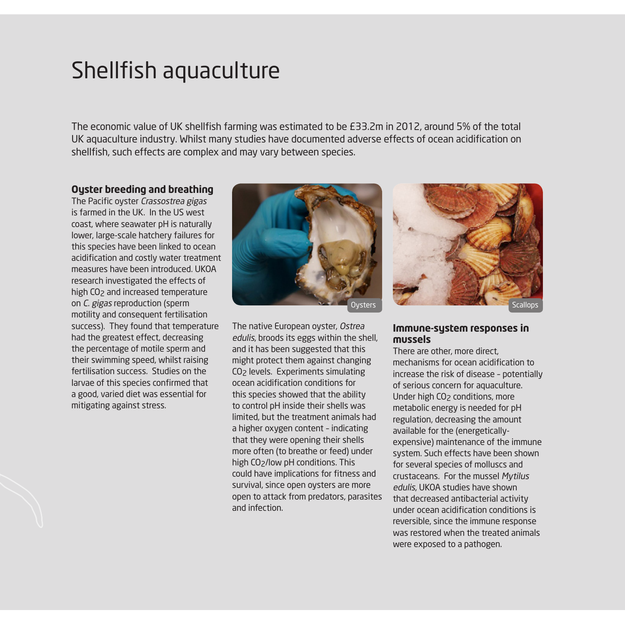### Shellfish aquaculture

The economic value of UK shellfish farming was estimated to be £33.2m in 2012, around 5% of the total UK aquaculture industry. Whilst many studies have documented adverse effects of ocean acidification on shellfish, such effects are complex and may vary between species.

#### **Oyster breeding and breathing**

The Pacific oyster Crassostrea gigas is farmed in the UK. In the US west coast, where seawater pH is naturally lower, large-scale hatchery failures for this species have been linked to ocean acidification and costly water treatment measures have been introduced. UKOA research investigated the effects of high CO<sub>2</sub> and increased temperature on C. gigas reproduction (sperm motility and consequent fertilisation success). They found that temperature had the greatest effect, decreasing the percentage of motile sperm and their swimming speed, whilst raising fertilisation success. Studies on the larvae of this species confirmed that a good, varied diet was essential for mitigating against stress.



The native European oyster, Ostrea edulis, broods its eggs within the shell, and it has been suggested that this might protect them against changing CO2 levels. Experiments simulating ocean acidification conditions for this species showed that the ability to control pH inside their shells was limited, but the treatment animals had a higher oxygen content – indicating that they were opening their shells more often (to breathe or feed) under high CO2/low pH conditions. This could have implications for fitness and survival, since open oysters are more open to attack from predators, parasites and infection.



#### **Immune-system responses in mussels**

There are other, more direct mechanisms for ocean acidification to increase the risk of disease – potentially of serious concern for aquaculture. Under high CO<sub>2</sub> conditions, more metabolic energy is needed for pH regulation, decreasing the amount available for the (energeticallyexpensive) maintenance of the immune system. Such effects have been shown for several species of molluscs and crustaceans. For the mussel Mytilus edulis, UKOA studies have shown that decreased antibacterial activity under ocean acidification conditions is reversible, since the immune response was restored when the treated animals were exposed to a pathogen.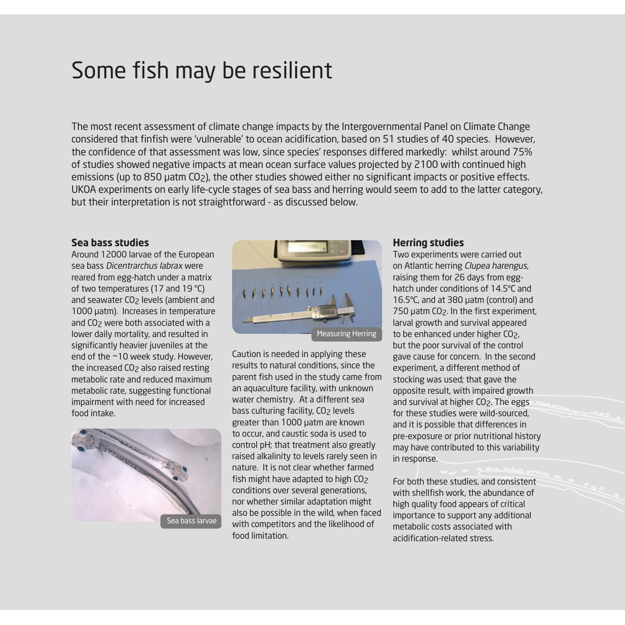### Some fish may be resilient

The most recent assessment of climate change impacts by the Intergovernmental Panel on Climate Change considered that finfish were 'vulnerable' to ocean acidification, based on 51 studies of 40 species. However, the confidence of that assessment was low, since species' responses differed markedly: whilst around 75% of studies showed negative impacts at mean ocean surface values projected by 2100 with continued high emissions (up to 850 μatm CO2), the other studies showed either no significant impacts or positive effects. UKOA experiments on early life-cycle stages of sea bass and herring would seem to add to the latter category, but their interpretation is not straightforward - as discussed below.

#### **Sea bass studies**

Around 12000 larvae of the European sea bass Dicentrarchus labrax were reared from egg-hatch under a matrix of two temperatures (17 and 19 °C) and seawater CO<sub>2</sub> levels (ambient and 1000 µatm). Increases in temperature and CO2 were both associated with a lower daily mortality, and resulted in significantly heavier juveniles at the end of the ~10 week study. However, the increased CO2 also raised resting metabolic rate and reduced maximum metabolic rate, suggesting functional impairment with need for increased food intake.





Caution is needed in applying these results to natural conditions, since the parent fish used in the study came from an aquaculture facility, with unknown water chemistry. At a different sea bass culturing facility, CO<sub>2</sub> levels greater than 1000 µatm are known to occur, and caustic soda is used to control pH; that treatment also greatly raised alkalinity to levels rarely seen in nature. It is not clear whether farmed fish might have adapted to high CO<sub>2</sub> conditions over several generations, nor whether similar adaptation might also be possible in the wild, when faced with competitors and the likelihood of food limitation.

#### **Herring studies**

Two experiments were carried out on Atlantic herring Clupea harengus, raising them for 26 days from egghatch under conditions of 14.5ºC and 16.5ºC, and at 380 μatm (control) and 750 μatm CO2. In the first experiment, larval growth and survival appeared to be enhanced under higher CO2, but the poor survival of the control gave cause for concern. In the second experiment, a different method of stocking was used; that gave the opposite result, with impaired growth and survival at higher CO<sub>2</sub>. The eggs for these studies were wild-sourced, and it is possible that differences in pre-exposure or prior nutritional history may have contributed to this variability in response.

For both these studies, and consistent with shellfish work, the abundance of high quality food appears of critical importance to support any additional metabolic costs associated with acidification-related stress.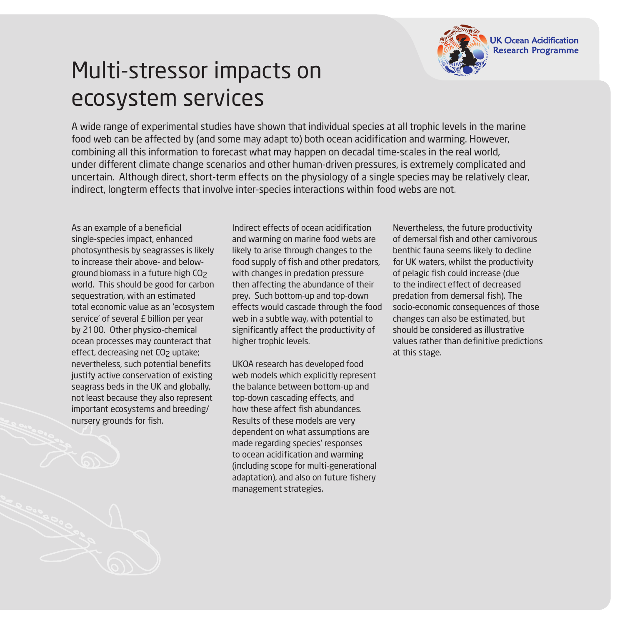

# Multi-stressor impacts on ecosystem services

A wide range of experimental studies have shown that individual species at all trophic levels in the marine food web can be affected by (and some may adapt to) both ocean acidification and warming. However, combining all this information to forecast what may happen on decadal time-scales in the real world, under different climate change scenarios and other human-driven pressures, is extremely complicated and uncertain. Although direct, short-term effects on the physiology of a single species may be relatively clear, indirect, longterm effects that involve inter-species interactions within food webs are not.

As an example of a beneficial single-species impact, enhanced photosynthesis by seagrasses is likely to increase their above- and belowground biomass in a future high CO2 world. This should be good for carbon sequestration, with an estimated total economic value as an 'ecosystem service' of several £ billion per year by 2100. Other physico-chemical ocean processes may counteract that effect, decreasing net CO<sub>2</sub> uptake; nevertheless, such potential benefits justify active conservation of existing seagrass beds in the UK and globally, not least because they also represent important ecosystems and breeding/ nursery grounds for fish.

Indirect effects of ocean acidification and warming on marine food webs are likely to arise through changes to the food supply of fish and other predators, with changes in predation pressure then affecting the abundance of their prey. Such bottom-up and top-down effects would cascade through the food web in a subtle way, with potential to significantly affect the productivity of higher trophic levels.

UKOA research has developed food web models which explicitly represent the balance between bottom-up and top-down cascading effects, and how these affect fish abundances. Results of these models are very dependent on what assumptions are made regarding species' responses to ocean acidification and warming (including scope for multi-generational adaptation), and also on future fishery management strategies.

Nevertheless, the future productivity of demersal fish and other carnivorous benthic fauna seems likely to decline for UK waters, whilst the productivity of pelagic fish could increase (due to the indirect effect of decreased predation from demersal fish). The socio-economic consequences of those changes can also be estimated, but should be considered as illustrative values rather than definitive predictions at this stage.